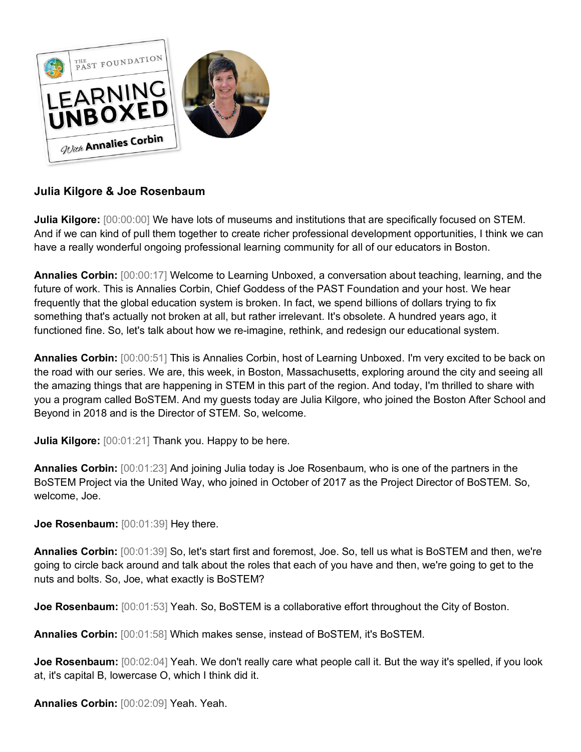

# **Julia Kilgore & Joe Rosenbaum**

**Julia Kilgore:**  $[00:00:00]$  We have lots of museums and institutions that are specifically focused on STEM. And if we can kind of pull them together to create richer professional development opportunities, I think we can have a really wonderful ongoing professional learning community for all of our educators in Boston.

**Annalies Corbin:** [00:00:17] Welcome to Learning Unboxed, a conversation about teaching, learning, and the future of work. This is Annalies Corbin, Chief Goddess of the PAST Foundation and your host. We hear frequently that the global education system is broken. In fact, we spend billions of dollars trying to fix something that's actually not broken at all, but rather irrelevant. It's obsolete. A hundred years ago, it functioned fine. So, let's talk about how we re-imagine, rethink, and redesign our educational system.

**Annalies Corbin:** [00:00:51] This is Annalies Corbin, host of Learning Unboxed. I'm very excited to be back on the road with our series. We are, this week, in Boston, Massachusetts, exploring around the city and seeing all the amazing things that are happening in STEM in this part of the region. And today, I'm thrilled to share with you a program called BoSTEM. And my guests today are Julia Kilgore, who joined the Boston After School and Beyond in 2018 and is the Director of STEM. So, welcome.

**Julia Kilgore:**  $[00:01:21]$  Thank you. Happy to be here.

**Annalies Corbin:** [00:01:23] And joining Julia today is Joe Rosenbaum, who is one of the partners in the BoSTEM Project via the United Way, who joined in October of 2017 as the Project Director of BoSTEM. So, welcome, Joe.

**Joe Rosenbaum:** [00:01:39] Hey there.

**Annalies Corbin:** [00:01:39] So, let's start first and foremost, Joe. So, tell us what is BoSTEM and then, we're going to circle back around and talk about the roles that each of you have and then, we're going to get to the nuts and bolts. So, Joe, what exactly is BoSTEM?

**Joe Rosenbaum:**  $[00:01:53]$  Yeah. So, BoSTEM is a collaborative effort throughout the City of Boston.

**Annalies Corbin:** [00:01:58] Which makes sense, instead of BoSTEM, it's BoSTEM.

**Joe Rosenbaum:** [00:02:04] Yeah. We don't really care what people call it. But the way it's spelled, if you look at, it's capital B, lowercase O, which I think did it.

**Annalies Corbin:** [00:02:09] Yeah. Yeah.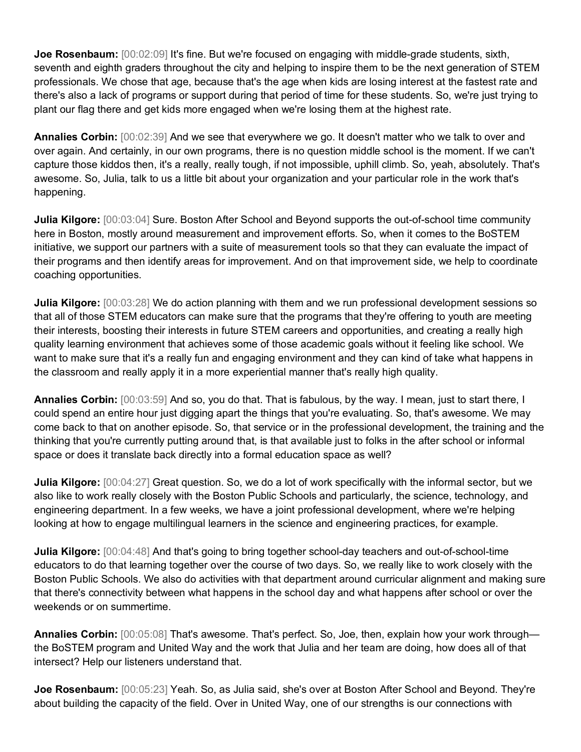**Joe Rosenbaum:** [00:02:09] It's fine. But we're focused on engaging with middle-grade students, sixth, seventh and eighth graders throughout the city and helping to inspire them to be the next generation of STEM professionals. We chose that age, because that's the age when kids are losing interest at the fastest rate and there's also a lack of programs or support during that period of time for these students. So, we're just trying to plant our flag there and get kids more engaged when we're losing them at the highest rate.

**Annalies Corbin:** [00:02:39] And we see that everywhere we go. It doesn't matter who we talk to over and over again. And certainly, in our own programs, there is no question middle school is the moment. If we can't capture those kiddos then, it's a really, really tough, if not impossible, uphill climb. So, yeah, absolutely. That's awesome. So, Julia, talk to us a little bit about your organization and your particular role in the work that's happening.

**Julia Kilgore:** [00:03:04] Sure. Boston After School and Beyond supports the out-of-school time community here in Boston, mostly around measurement and improvement efforts. So, when it comes to the BoSTEM initiative, we support our partners with a suite of measurement tools so that they can evaluate the impact of their programs and then identify areas for improvement. And on that improvement side, we help to coordinate coaching opportunities.

**Julia Kilgore:**  $[00:03:28]$  We do action planning with them and we run professional development sessions so that all of those STEM educators can make sure that the programs that they're offering to youth are meeting their interests, boosting their interests in future STEM careers and opportunities, and creating a really high quality learning environment that achieves some of those academic goals without it feeling like school. We want to make sure that it's a really fun and engaging environment and they can kind of take what happens in the classroom and really apply it in a more experiential manner that's really high quality.

**Annalies Corbin:** [00:03:59] And so, you do that. That is fabulous, by the way. I mean, just to start there, I could spend an entire hour just digging apart the things that you're evaluating. So, that's awesome. We may come back to that on another episode. So, that service or in the professional development, the training and the thinking that you're currently putting around that, is that available just to folks in the after school or informal space or does it translate back directly into a formal education space as well?

**Julia Kilgore:**  $[00:04:27]$  Great question. So, we do a lot of work specifically with the informal sector, but we also like to work really closely with the Boston Public Schools and particularly, the science, technology, and engineering department. In a few weeks, we have a joint professional development, where we're helping looking at how to engage multilingual learners in the science and engineering practices, for example.

**Julia Kilgore:**  $[00:04:48]$  And that's going to bring together school-day teachers and out-of-school-time educators to do that learning together over the course of two days. So, we really like to work closely with the Boston Public Schools. We also do activities with that department around curricular alignment and making sure that there's connectivity between what happens in the school day and what happens after school or over the weekends or on summertime.

**Annalies Corbin:**  $[00:05:08]$  That's awesome. That's perfect. So, Joe, then, explain how your work through the BoSTEM program and United Way and the work that Julia and her team are doing, how does all of that intersect? Help our listeners understand that.

**Joe Rosenbaum:** [00:05:23] Yeah. So, as Julia said, she's over at Boston After School and Beyond. They're about building the capacity of the field. Over in United Way, one of our strengths is our connections with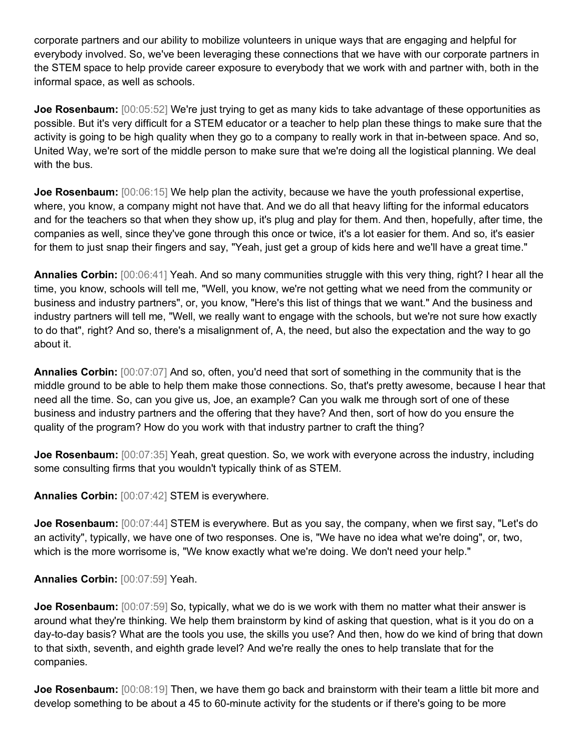corporate partners and our ability to mobilize volunteers in unique ways that are engaging and helpful for everybody involved. So, we've been leveraging these connections that we have with our corporate partners in the STEM space to help provide career exposure to everybody that we work with and partner with, both in the informal space, as well as schools.

**Joe Rosenbaum:** [00:05:52] We're just trying to get as many kids to take advantage of these opportunities as possible. But it's very difficult for a STEM educator or a teacher to help plan these things to make sure that the activity is going to be high quality when they go to a company to really work in that in-between space. And so, United Way, we're sort of the middle person to make sure that we're doing all the logistical planning. We deal with the bus.

**Joe Rosenbaum:**  $[00:06:15]$  We help plan the activity, because we have the youth professional expertise, where, you know, a company might not have that. And we do all that heavy lifting for the informal educators and for the teachers so that when they show up, it's plug and play for them. And then, hopefully, after time, the companies as well, since they've gone through this once or twice, it's a lot easier for them. And so, it's easier for them to just snap their fingers and say, "Yeah, just get a group of kids here and we'll have a great time."

**Annalies Corbin:** [00:06:41] Yeah. And so many communities struggle with this very thing, right? I hear all the time, you know, schools will tell me, "Well, you know, we're not getting what we need from the community or business and industry partners", or, you know, "Here's this list of things that we want." And the business and industry partners will tell me, "Well, we really want to engage with the schools, but we're not sure how exactly to do that", right? And so, there's a misalignment of, A, the need, but also the expectation and the way to go about it.

**Annalies Corbin:** [00:07:07] And so, often, you'd need that sort of something in the community that is the middle ground to be able to help them make those connections. So, that's pretty awesome, because I hear that need all the time. So, can you give us, Joe, an example? Can you walk me through sort of one of these business and industry partners and the offering that they have? And then, sort of how do you ensure the quality of the program? How do you work with that industry partner to craft the thing?

**Joe Rosenbaum:** [00:07:35] Yeah, great question. So, we work with everyone across the industry, including some consulting firms that you wouldn't typically think of as STEM.

**Annalies Corbin:** [00:07:42] STEM is everywhere.

**Joe Rosenbaum:** [00:07:44] STEM is everywhere. But as you say, the company, when we first say, "Let's do an activity", typically, we have one of two responses. One is, "We have no idea what we're doing", or, two, which is the more worrisome is, "We know exactly what we're doing. We don't need your help."

**Annalies Corbin:** [00:07:59] Yeah.

**Joe Rosenbaum:** [00:07:59] So, typically, what we do is we work with them no matter what their answer is around what they're thinking. We help them brainstorm by kind of asking that question, what is it you do on a day-to-day basis? What are the tools you use, the skills you use? And then, how do we kind of bring that down to that sixth, seventh, and eighth grade level? And we're really the ones to help translate that for the companies.

**Joe Rosenbaum:** [00:08:19] Then, we have them go back and brainstorm with their team a little bit more and develop something to be about a 45 to 60-minute activity for the students or if there's going to be more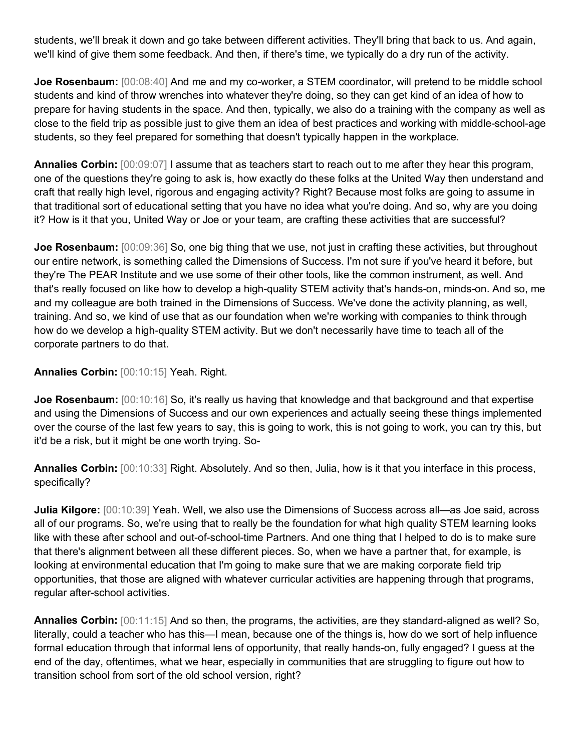students, we'll break it down and go take between different activities. They'll bring that back to us. And again, we'll kind of give them some feedback. And then, if there's time, we typically do a dry run of the activity.

**Joe Rosenbaum:** [00:08:40] And me and my co-worker, a STEM coordinator, will pretend to be middle school students and kind of throw wrenches into whatever they're doing, so they can get kind of an idea of how to prepare for having students in the space. And then, typically, we also do a training with the company as well as close to the field trip as possible just to give them an idea of best practices and working with middle-school-age students, so they feel prepared for something that doesn't typically happen in the workplace.

**Annalies Corbin:** [00:09:07] I assume that as teachers start to reach out to me after they hear this program, one of the questions they're going to ask is, how exactly do these folks at the United Way then understand and craft that really high level, rigorous and engaging activity? Right? Because most folks are going to assume in that traditional sort of educational setting that you have no idea what you're doing. And so, why are you doing it? How is it that you, United Way or Joe or your team, are crafting these activities that are successful?

**Joe Rosenbaum:** [00:09:36] So, one big thing that we use, not just in crafting these activities, but throughout our entire network, is something called the Dimensions of Success. I'm not sure if you've heard it before, but they're The PEAR Institute and we use some of their other tools, like the common instrument, as well. And that's really focused on like how to develop a high-quality STEM activity that's hands-on, minds-on. And so, me and my colleague are both trained in the Dimensions of Success. We've done the activity planning, as well, training. And so, we kind of use that as our foundation when we're working with companies to think through how do we develop a high-quality STEM activity. But we don't necessarily have time to teach all of the corporate partners to do that.

#### **Annalies Corbin:** [00:10:15] Yeah. Right.

**Joe Rosenbaum:**  $[00:10:16]$  So, it's really us having that knowledge and that background and that expertise and using the Dimensions of Success and our own experiences and actually seeing these things implemented over the course of the last few years to say, this is going to work, this is not going to work, you can try this, but it'd be a risk, but it might be one worth trying. So-

**Annalies Corbin:** [00:10:33] Right. Absolutely. And so then, Julia, how is it that you interface in this process, specifically?

**Julia Kilgore:** [00:10:39] Yeah. Well, we also use the Dimensions of Success across all—as Joe said, across all of our programs. So, we're using that to really be the foundation for what high quality STEM learning looks like with these after school and out-of-school-time Partners. And one thing that I helped to do is to make sure that there's alignment between all these different pieces. So, when we have a partner that, for example, is looking at environmental education that I'm going to make sure that we are making corporate field trip opportunities, that those are aligned with whatever curricular activities are happening through that programs, regular after-school activities.

**Annalies Corbin:** [00:11:15] And so then, the programs, the activities, are they standard-aligned as well? So, literally, could a teacher who has this—I mean, because one of the things is, how do we sort of help influence formal education through that informal lens of opportunity, that really hands-on, fully engaged? I guess at the end of the day, oftentimes, what we hear, especially in communities that are struggling to figure out how to transition school from sort of the old school version, right?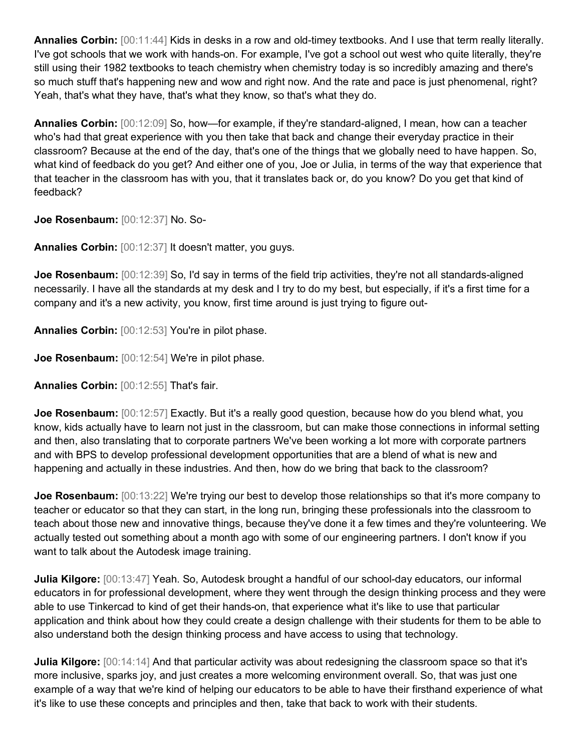**Annalies Corbin:** [00:11:44] Kids in desks in a row and old-timey textbooks. And I use that term really literally. I've got schools that we work with hands-on. For example, I've got a school out west who quite literally, they're still using their 1982 textbooks to teach chemistry when chemistry today is so incredibly amazing and there's so much stuff that's happening new and wow and right now. And the rate and pace is just phenomenal, right? Yeah, that's what they have, that's what they know, so that's what they do.

**Annalies Corbin:** [00:12:09] So, how—for example, if they're standard-aligned, I mean, how can a teacher who's had that great experience with you then take that back and change their everyday practice in their classroom? Because at the end of the day, that's one of the things that we globally need to have happen. So, what kind of feedback do you get? And either one of you, Joe or Julia, in terms of the way that experience that that teacher in the classroom has with you, that it translates back or, do you know? Do you get that kind of feedback?

**Joe Rosenbaum:** [00:12:37] No. So-

**Annalies Corbin:** [00:12:37] It doesn't matter, you guys.

**Joe Rosenbaum:** [00:12:39] So, I'd say in terms of the field trip activities, they're not all standards-aligned necessarily. I have all the standards at my desk and I try to do my best, but especially, if it's a first time for a company and it's a new activity, you know, first time around is just trying to figure out-

**Annalies Corbin:** [00:12:53] You're in pilot phase.

**Joe Rosenbaum:** [00:12:54] We're in pilot phase.

**Annalies Corbin:** [00:12:55] That's fair.

**Joe Rosenbaum:** [00:12:57] Exactly. But it's a really good question, because how do you blend what, you know, kids actually have to learn not just in the classroom, but can make those connections in informal setting and then, also translating that to corporate partners We've been working a lot more with corporate partners and with BPS to develop professional development opportunities that are a blend of what is new and happening and actually in these industries. And then, how do we bring that back to the classroom?

**Joe Rosenbaum:** [00:13:22] We're trying our best to develop those relationships so that it's more company to teacher or educator so that they can start, in the long run, bringing these professionals into the classroom to teach about those new and innovative things, because they've done it a few times and they're volunteering. We actually tested out something about a month ago with some of our engineering partners. I don't know if you want to talk about the Autodesk image training.

**Julia Kilgore:** [00:13:47] Yeah. So, Autodesk brought a handful of our school-day educators, our informal educators in for professional development, where they went through the design thinking process and they were able to use Tinkercad to kind of get their hands-on, that experience what it's like to use that particular application and think about how they could create a design challenge with their students for them to be able to also understand both the design thinking process and have access to using that technology.

**Julia Kilgore:**  $[00:14:14]$  And that particular activity was about redesigning the classroom space so that it's more inclusive, sparks joy, and just creates a more welcoming environment overall. So, that was just one example of a way that we're kind of helping our educators to be able to have their firsthand experience of what it's like to use these concepts and principles and then, take that back to work with their students.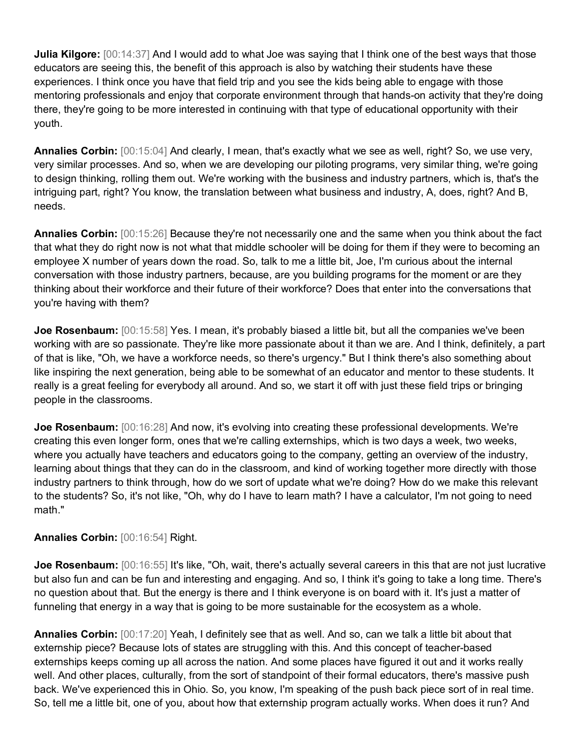**Julia Kilgore:** [00:14:37] And I would add to what Joe was saying that I think one of the best ways that those educators are seeing this, the benefit of this approach is also by watching their students have these experiences. I think once you have that field trip and you see the kids being able to engage with those mentoring professionals and enjoy that corporate environment through that hands-on activity that they're doing there, they're going to be more interested in continuing with that type of educational opportunity with their youth.

**Annalies Corbin:** [00:15:04] And clearly, I mean, that's exactly what we see as well, right? So, we use very, very similar processes. And so, when we are developing our piloting programs, very similar thing, we're going to design thinking, rolling them out. We're working with the business and industry partners, which is, that's the intriguing part, right? You know, the translation between what business and industry, A, does, right? And B, needs.

**Annalies Corbin:** [00:15:26] Because they're not necessarily one and the same when you think about the fact that what they do right now is not what that middle schooler will be doing for them if they were to becoming an employee X number of years down the road. So, talk to me a little bit, Joe, I'm curious about the internal conversation with those industry partners, because, are you building programs for the moment or are they thinking about their workforce and their future of their workforce? Does that enter into the conversations that you're having with them?

**Joe Rosenbaum:** [00:15:58] Yes. I mean, it's probably biased a little bit, but all the companies we've been working with are so passionate. They're like more passionate about it than we are. And I think, definitely, a part of that is like, "Oh, we have a workforce needs, so there's urgency." But I think there's also something about like inspiring the next generation, being able to be somewhat of an educator and mentor to these students. It really is a great feeling for everybody all around. And so, we start it off with just these field trips or bringing people in the classrooms.

**Joe Rosenbaum:** [00:16:28] And now, it's evolving into creating these professional developments. We're creating this even longer form, ones that we're calling externships, which is two days a week, two weeks, where you actually have teachers and educators going to the company, getting an overview of the industry, learning about things that they can do in the classroom, and kind of working together more directly with those industry partners to think through, how do we sort of update what we're doing? How do we make this relevant to the students? So, it's not like, "Oh, why do I have to learn math? I have a calculator, I'm not going to need math."

## **Annalies Corbin:** [00:16:54] Right.

**Joe Rosenbaum:** [00:16:55] It's like, "Oh, wait, there's actually several careers in this that are not just lucrative but also fun and can be fun and interesting and engaging. And so, I think it's going to take a long time. There's no question about that. But the energy is there and I think everyone is on board with it. It's just a matter of funneling that energy in a way that is going to be more sustainable for the ecosystem as a whole.

**Annalies Corbin:** [00:17:20] Yeah, I definitely see that as well. And so, can we talk a little bit about that externship piece? Because lots of states are struggling with this. And this concept of teacher-based externships keeps coming up all across the nation. And some places have figured it out and it works really well. And other places, culturally, from the sort of standpoint of their formal educators, there's massive push back. We've experienced this in Ohio. So, you know, I'm speaking of the push back piece sort of in real time. So, tell me a little bit, one of you, about how that externship program actually works. When does it run? And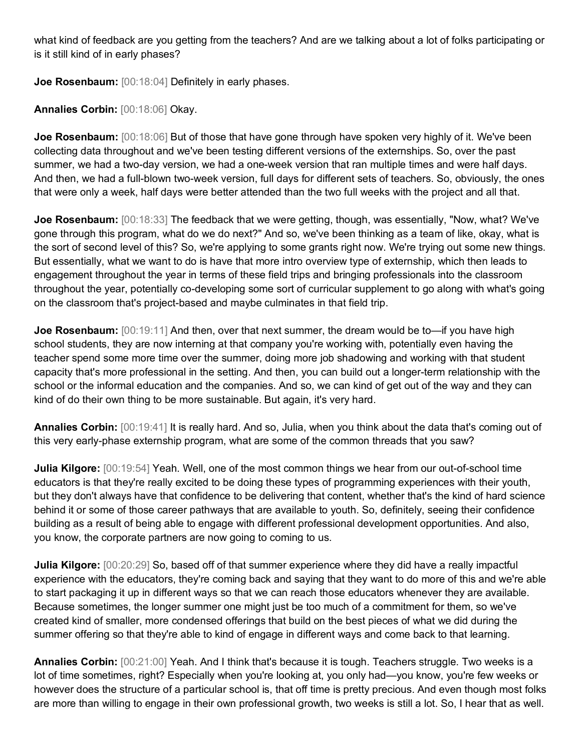what kind of feedback are you getting from the teachers? And are we talking about a lot of folks participating or is it still kind of in early phases?

**Joe Rosenbaum:** [00:18:04] Definitely in early phases.

**Annalies Corbin:** [00:18:06] Okay.

**Joe Rosenbaum:**  $[00:18:06]$  But of those that have gone through have spoken very highly of it. We've been collecting data throughout and we've been testing different versions of the externships. So, over the past summer, we had a two-day version, we had a one-week version that ran multiple times and were half days. And then, we had a full-blown two-week version, full days for different sets of teachers. So, obviously, the ones that were only a week, half days were better attended than the two full weeks with the project and all that.

**Joe Rosenbaum:** [00:18:33] The feedback that we were getting, though, was essentially, "Now, what? We've gone through this program, what do we do next?" And so, we've been thinking as a team of like, okay, what is the sort of second level of this? So, we're applying to some grants right now. We're trying out some new things. But essentially, what we want to do is have that more intro overview type of externship, which then leads to engagement throughout the year in terms of these field trips and bringing professionals into the classroom throughout the year, potentially co-developing some sort of curricular supplement to go along with what's going on the classroom that's project-based and maybe culminates in that field trip.

**Joe Rosenbaum:**  $[00:19:11]$  And then, over that next summer, the dream would be to—if you have high school students, they are now interning at that company you're working with, potentially even having the teacher spend some more time over the summer, doing more job shadowing and working with that student capacity that's more professional in the setting. And then, you can build out a longer-term relationship with the school or the informal education and the companies. And so, we can kind of get out of the way and they can kind of do their own thing to be more sustainable. But again, it's very hard.

**Annalies Corbin:** [00:19:41] It is really hard. And so, Julia, when you think about the data that's coming out of this very early-phase externship program, what are some of the common threads that you saw?

**Julia Kilgore:** [00:19:54] Yeah. Well, one of the most common things we hear from our out-of-school time educators is that they're really excited to be doing these types of programming experiences with their youth, but they don't always have that confidence to be delivering that content, whether that's the kind of hard science behind it or some of those career pathways that are available to youth. So, definitely, seeing their confidence building as a result of being able to engage with different professional development opportunities. And also, you know, the corporate partners are now going to coming to us.

**Julia Kilgore:** [00:20:29] So, based off of that summer experience where they did have a really impactful experience with the educators, they're coming back and saying that they want to do more of this and we're able to start packaging it up in different ways so that we can reach those educators whenever they are available. Because sometimes, the longer summer one might just be too much of a commitment for them, so we've created kind of smaller, more condensed offerings that build on the best pieces of what we did during the summer offering so that they're able to kind of engage in different ways and come back to that learning.

**Annalies Corbin:** [00:21:00] Yeah. And I think that's because it is tough. Teachers struggle. Two weeks is a lot of time sometimes, right? Especially when you're looking at, you only had—you know, you're few weeks or however does the structure of a particular school is, that off time is pretty precious. And even though most folks are more than willing to engage in their own professional growth, two weeks is still a lot. So, I hear that as well.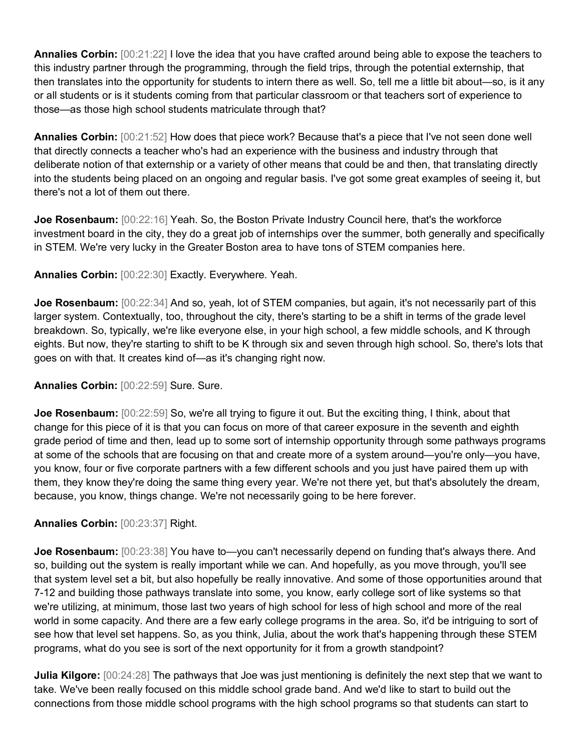**Annalies Corbin:** [00:21:22] I love the idea that you have crafted around being able to expose the teachers to this industry partner through the programming, through the field trips, through the potential externship, that then translates into the opportunity for students to intern there as well. So, tell me a little bit about—so, is it any or all students or is it students coming from that particular classroom or that teachers sort of experience to those—as those high school students matriculate through that?

**Annalies Corbin:** [00:21:52] How does that piece work? Because that's a piece that I've not seen done well that directly connects a teacher who's had an experience with the business and industry through that deliberate notion of that externship or a variety of other means that could be and then, that translating directly into the students being placed on an ongoing and regular basis. I've got some great examples of seeing it, but there's not a lot of them out there.

**Joe Rosenbaum:** [00:22:16] Yeah. So, the Boston Private Industry Council here, that's the workforce investment board in the city, they do a great job of internships over the summer, both generally and specifically in STEM. We're very lucky in the Greater Boston area to have tons of STEM companies here.

**Annalies Corbin:** [00:22:30] Exactly. Everywhere. Yeah.

**Joe Rosenbaum:** [00:22:34] And so, yeah, lot of STEM companies, but again, it's not necessarily part of this larger system. Contextually, too, throughout the city, there's starting to be a shift in terms of the grade level breakdown. So, typically, we're like everyone else, in your high school, a few middle schools, and K through eights. But now, they're starting to shift to be K through six and seven through high school. So, there's lots that goes on with that. It creates kind of—as it's changing right now.

## **Annalies Corbin:** [00:22:59] Sure. Sure.

**Joe Rosenbaum:**  $[00:22:59]$  So, we're all trying to figure it out. But the exciting thing, I think, about that change for this piece of it is that you can focus on more of that career exposure in the seventh and eighth grade period of time and then, lead up to some sort of internship opportunity through some pathways programs at some of the schools that are focusing on that and create more of a system around—you're only—you have, you know, four or five corporate partners with a few different schools and you just have paired them up with them, they know they're doing the same thing every year. We're not there yet, but that's absolutely the dream, because, you know, things change. We're not necessarily going to be here forever.

#### **Annalies Corbin:** [00:23:37] Right.

**Joe Rosenbaum:** [00:23:38] You have to—you can't necessarily depend on funding that's always there. And so, building out the system is really important while we can. And hopefully, as you move through, you'll see that system level set a bit, but also hopefully be really innovative. And some of those opportunities around that 7-12 and building those pathways translate into some, you know, early college sort of like systems so that we're utilizing, at minimum, those last two years of high school for less of high school and more of the real world in some capacity. And there are a few early college programs in the area. So, it'd be intriguing to sort of see how that level set happens. So, as you think, Julia, about the work that's happening through these STEM programs, what do you see is sort of the next opportunity for it from a growth standpoint?

**Julia Kilgore:**  $[00:24:28]$  The pathways that Joe was just mentioning is definitely the next step that we want to take. We've been really focused on this middle school grade band. And we'd like to start to build out the connections from those middle school programs with the high school programs so that students can start to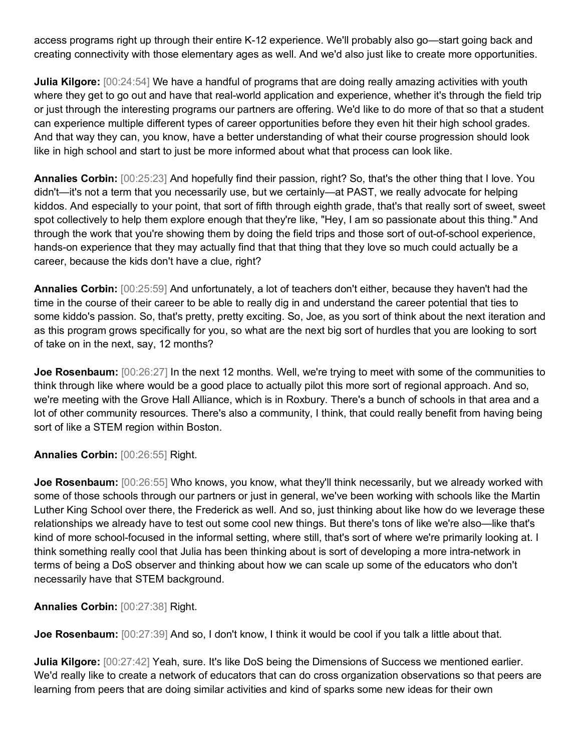access programs right up through their entire K-12 experience. We'll probably also go—start going back and creating connectivity with those elementary ages as well. And we'd also just like to create more opportunities.

**Julia Kilgore:**  $[00:24:54]$  We have a handful of programs that are doing really amazing activities with youth where they get to go out and have that real-world application and experience, whether it's through the field trip or just through the interesting programs our partners are offering. We'd like to do more of that so that a student can experience multiple different types of career opportunities before they even hit their high school grades. And that way they can, you know, have a better understanding of what their course progression should look like in high school and start to just be more informed about what that process can look like.

**Annalies Corbin:** [00:25:23] And hopefully find their passion, right? So, that's the other thing that I love. You didn't—it's not a term that you necessarily use, but we certainly—at PAST, we really advocate for helping kiddos. And especially to your point, that sort of fifth through eighth grade, that's that really sort of sweet, sweet spot collectively to help them explore enough that they're like, "Hey, I am so passionate about this thing." And through the work that you're showing them by doing the field trips and those sort of out-of-school experience, hands-on experience that they may actually find that that thing that they love so much could actually be a career, because the kids don't have a clue, right?

**Annalies Corbin:** [00:25:59] And unfortunately, a lot of teachers don't either, because they haven't had the time in the course of their career to be able to really dig in and understand the career potential that ties to some kiddo's passion. So, that's pretty, pretty exciting. So, Joe, as you sort of think about the next iteration and as this program grows specifically for you, so what are the next big sort of hurdles that you are looking to sort of take on in the next, say, 12 months?

**Joe Rosenbaum:** [00:26:27] In the next 12 months. Well, we're trying to meet with some of the communities to think through like where would be a good place to actually pilot this more sort of regional approach. And so, we're meeting with the Grove Hall Alliance, which is in Roxbury. There's a bunch of schools in that area and a lot of other community resources. There's also a community, I think, that could really benefit from having being sort of like a STEM region within Boston.

**Annalies Corbin:** [00:26:55] Right.

**Joe Rosenbaum:** [00:26:55] Who knows, you know, what they'll think necessarily, but we already worked with some of those schools through our partners or just in general, we've been working with schools like the Martin Luther King School over there, the Frederick as well. And so, just thinking about like how do we leverage these relationships we already have to test out some cool new things. But there's tons of like we're also—like that's kind of more school-focused in the informal setting, where still, that's sort of where we're primarily looking at. I think something really cool that Julia has been thinking about is sort of developing a more intra-network in terms of being a DoS observer and thinking about how we can scale up some of the educators who don't necessarily have that STEM background.

**Annalies Corbin:** [00:27:38] Right.

**Joe Rosenbaum:**  $[00:27:39]$  And so, I don't know, I think it would be cool if you talk a little about that.

**Julia Kilgore:**  $[00:27:42]$  Yeah, sure. It's like DoS being the Dimensions of Success we mentioned earlier. We'd really like to create a network of educators that can do cross organization observations so that peers are learning from peers that are doing similar activities and kind of sparks some new ideas for their own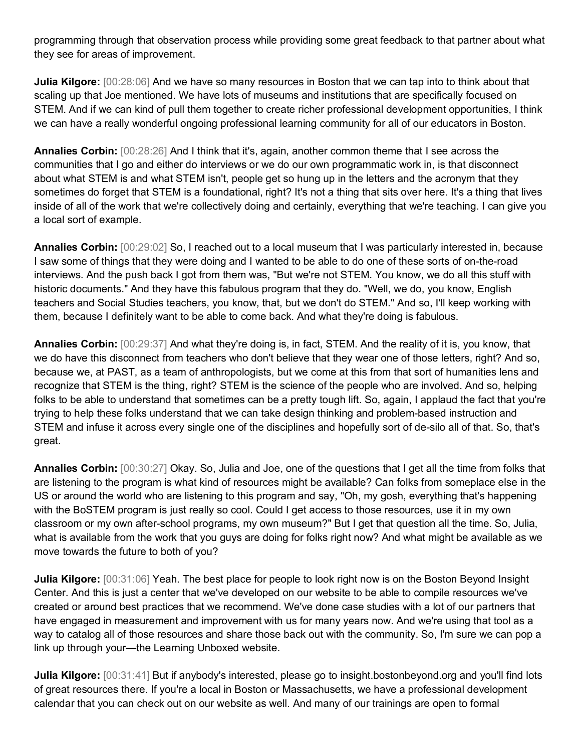programming through that observation process while providing some great feedback to that partner about what they see for areas of improvement.

**Julia Kilgore:**  $[00:28:06]$  And we have so many resources in Boston that we can tap into to think about that scaling up that Joe mentioned. We have lots of museums and institutions that are specifically focused on STEM. And if we can kind of pull them together to create richer professional development opportunities, I think we can have a really wonderful ongoing professional learning community for all of our educators in Boston.

**Annalies Corbin:** [00:28:26] And I think that it's, again, another common theme that I see across the communities that I go and either do interviews or we do our own programmatic work in, is that disconnect about what STEM is and what STEM isn't, people get so hung up in the letters and the acronym that they sometimes do forget that STEM is a foundational, right? It's not a thing that sits over here. It's a thing that lives inside of all of the work that we're collectively doing and certainly, everything that we're teaching. I can give you a local sort of example.

**Annalies Corbin:** [00:29:02] So, I reached out to a local museum that I was particularly interested in, because I saw some of things that they were doing and I wanted to be able to do one of these sorts of on-the-road interviews. And the push back I got from them was, "But we're not STEM. You know, we do all this stuff with historic documents." And they have this fabulous program that they do. "Well, we do, you know, English teachers and Social Studies teachers, you know, that, but we don't do STEM." And so, I'll keep working with them, because I definitely want to be able to come back. And what they're doing is fabulous.

**Annalies Corbin:** [00:29:37] And what they're doing is, in fact, STEM. And the reality of it is, you know, that we do have this disconnect from teachers who don't believe that they wear one of those letters, right? And so, because we, at PAST, as a team of anthropologists, but we come at this from that sort of humanities lens and recognize that STEM is the thing, right? STEM is the science of the people who are involved. And so, helping folks to be able to understand that sometimes can be a pretty tough lift. So, again, I applaud the fact that you're trying to help these folks understand that we can take design thinking and problem-based instruction and STEM and infuse it across every single one of the disciplines and hopefully sort of de-silo all of that. So, that's great.

**Annalies Corbin:** [00:30:27] Okay. So, Julia and Joe, one of the questions that I get all the time from folks that are listening to the program is what kind of resources might be available? Can folks from someplace else in the US or around the world who are listening to this program and say, "Oh, my gosh, everything that's happening with the BoSTEM program is just really so cool. Could I get access to those resources, use it in my own classroom or my own after-school programs, my own museum?" But I get that question all the time. So, Julia, what is available from the work that you guys are doing for folks right now? And what might be available as we move towards the future to both of you?

**Julia Kilgore:** [00:31:06] Yeah. The best place for people to look right now is on the Boston Beyond Insight Center. And this is just a center that we've developed on our website to be able to compile resources we've created or around best practices that we recommend. We've done case studies with a lot of our partners that have engaged in measurement and improvement with us for many years now. And we're using that tool as a way to catalog all of those resources and share those back out with the community. So, I'm sure we can pop a link up through your—the Learning Unboxed website.

**Julia Kilgore:** [00:31:41] But if anybody's interested, please go to insight.bostonbeyond.org and you'll find lots of great resources there. If you're a local in Boston or Massachusetts, we have a professional development calendar that you can check out on our website as well. And many of our trainings are open to formal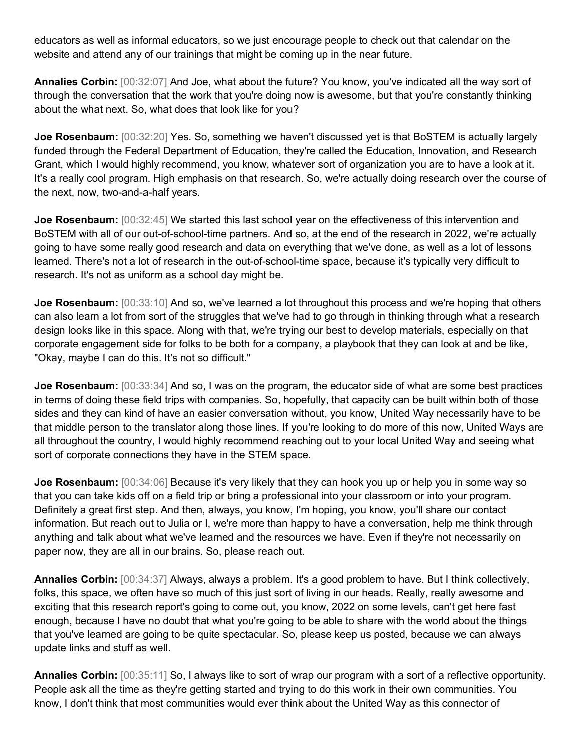educators as well as informal educators, so we just encourage people to check out that calendar on the website and attend any of our trainings that might be coming up in the near future.

**Annalies Corbin:** [00:32:07] And Joe, what about the future? You know, you've indicated all the way sort of through the conversation that the work that you're doing now is awesome, but that you're constantly thinking about the what next. So, what does that look like for you?

**Joe Rosenbaum:** [00:32:20] Yes. So, something we haven't discussed yet is that BoSTEM is actually largely funded through the Federal Department of Education, they're called the Education, Innovation, and Research Grant, which I would highly recommend, you know, whatever sort of organization you are to have a look at it. It's a really cool program. High emphasis on that research. So, we're actually doing research over the course of the next, now, two-and-a-half years.

**Joe Rosenbaum:**  $[00:32:45]$  We started this last school year on the effectiveness of this intervention and BoSTEM with all of our out-of-school-time partners. And so, at the end of the research in 2022, we're actually going to have some really good research and data on everything that we've done, as well as a lot of lessons learned. There's not a lot of research in the out-of-school-time space, because it's typically very difficult to research. It's not as uniform as a school day might be.

**Joe Rosenbaum:** [00:33:10] And so, we've learned a lot throughout this process and we're hoping that others can also learn a lot from sort of the struggles that we've had to go through in thinking through what a research design looks like in this space. Along with that, we're trying our best to develop materials, especially on that corporate engagement side for folks to be both for a company, a playbook that they can look at and be like, "Okay, maybe I can do this. It's not so difficult."

**Joe Rosenbaum:** [00:33:34] And so, I was on the program, the educator side of what are some best practices in terms of doing these field trips with companies. So, hopefully, that capacity can be built within both of those sides and they can kind of have an easier conversation without, you know, United Way necessarily have to be that middle person to the translator along those lines. If you're looking to do more of this now, United Ways are all throughout the country, I would highly recommend reaching out to your local United Way and seeing what sort of corporate connections they have in the STEM space.

**Joe Rosenbaum:** [00:34:06] Because it's very likely that they can hook you up or help you in some way so that you can take kids off on a field trip or bring a professional into your classroom or into your program. Definitely a great first step. And then, always, you know, I'm hoping, you know, you'll share our contact information. But reach out to Julia or I, we're more than happy to have a conversation, help me think through anything and talk about what we've learned and the resources we have. Even if they're not necessarily on paper now, they are all in our brains. So, please reach out.

**Annalies Corbin:** [00:34:37] Always, always a problem. It's a good problem to have. But I think collectively, folks, this space, we often have so much of this just sort of living in our heads. Really, really awesome and exciting that this research report's going to come out, you know, 2022 on some levels, can't get here fast enough, because I have no doubt that what you're going to be able to share with the world about the things that you've learned are going to be quite spectacular. So, please keep us posted, because we can always update links and stuff as well.

**Annalies Corbin:** [00:35:11] So, I always like to sort of wrap our program with a sort of a reflective opportunity. People ask all the time as they're getting started and trying to do this work in their own communities. You know, I don't think that most communities would ever think about the United Way as this connector of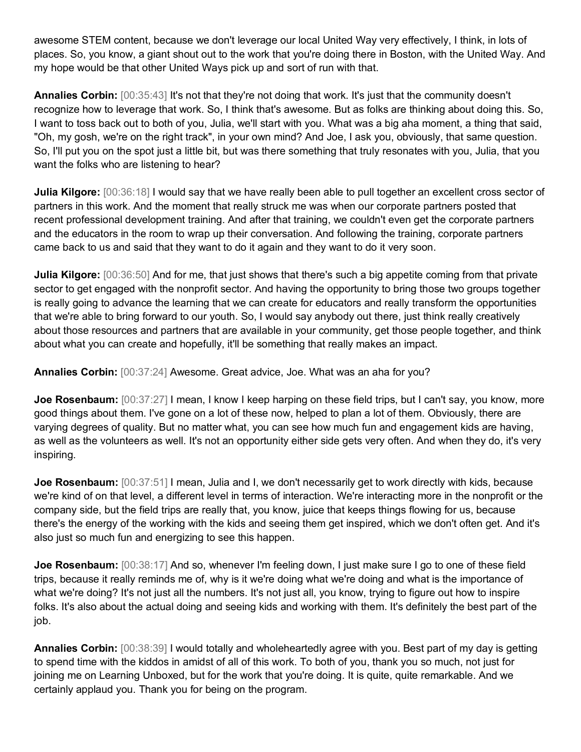awesome STEM content, because we don't leverage our local United Way very effectively, I think, in lots of places. So, you know, a giant shout out to the work that you're doing there in Boston, with the United Way. And my hope would be that other United Ways pick up and sort of run with that.

**Annalies Corbin:** [00:35:43] It's not that they're not doing that work. It's just that the community doesn't recognize how to leverage that work. So, I think that's awesome. But as folks are thinking about doing this. So, I want to toss back out to both of you, Julia, we'll start with you. What was a big aha moment, a thing that said, "Oh, my gosh, we're on the right track", in your own mind? And Joe, I ask you, obviously, that same question. So, I'll put you on the spot just a little bit, but was there something that truly resonates with you, Julia, that you want the folks who are listening to hear?

**Julia Kilgore:** [00:36:18] I would say that we have really been able to pull together an excellent cross sector of partners in this work. And the moment that really struck me was when our corporate partners posted that recent professional development training. And after that training, we couldn't even get the corporate partners and the educators in the room to wrap up their conversation. And following the training, corporate partners came back to us and said that they want to do it again and they want to do it very soon.

**Julia Kilgore:** [00:36:50] And for me, that just shows that there's such a big appetite coming from that private sector to get engaged with the nonprofit sector. And having the opportunity to bring those two groups together is really going to advance the learning that we can create for educators and really transform the opportunities that we're able to bring forward to our youth. So, I would say anybody out there, just think really creatively about those resources and partners that are available in your community, get those people together, and think about what you can create and hopefully, it'll be something that really makes an impact.

**Annalies Corbin:** [00:37:24] Awesome. Great advice, Joe. What was an aha for you?

**Joe Rosenbaum:** [00:37:27] I mean, I know I keep harping on these field trips, but I can't say, you know, more good things about them. I've gone on a lot of these now, helped to plan a lot of them. Obviously, there are varying degrees of quality. But no matter what, you can see how much fun and engagement kids are having, as well as the volunteers as well. It's not an opportunity either side gets very often. And when they do, it's very inspiring.

**Joe Rosenbaum:** [00:37:51] I mean, Julia and I, we don't necessarily get to work directly with kids, because we're kind of on that level, a different level in terms of interaction. We're interacting more in the nonprofit or the company side, but the field trips are really that, you know, juice that keeps things flowing for us, because there's the energy of the working with the kids and seeing them get inspired, which we don't often get. And it's also just so much fun and energizing to see this happen.

**Joe Rosenbaum:** [00:38:17] And so, whenever I'm feeling down, I just make sure I go to one of these field trips, because it really reminds me of, why is it we're doing what we're doing and what is the importance of what we're doing? It's not just all the numbers. It's not just all, you know, trying to figure out how to inspire folks. It's also about the actual doing and seeing kids and working with them. It's definitely the best part of the job.

**Annalies Corbin:** [00:38:39] I would totally and wholeheartedly agree with you. Best part of my day is getting to spend time with the kiddos in amidst of all of this work. To both of you, thank you so much, not just for joining me on Learning Unboxed, but for the work that you're doing. It is quite, quite remarkable. And we certainly applaud you. Thank you for being on the program.